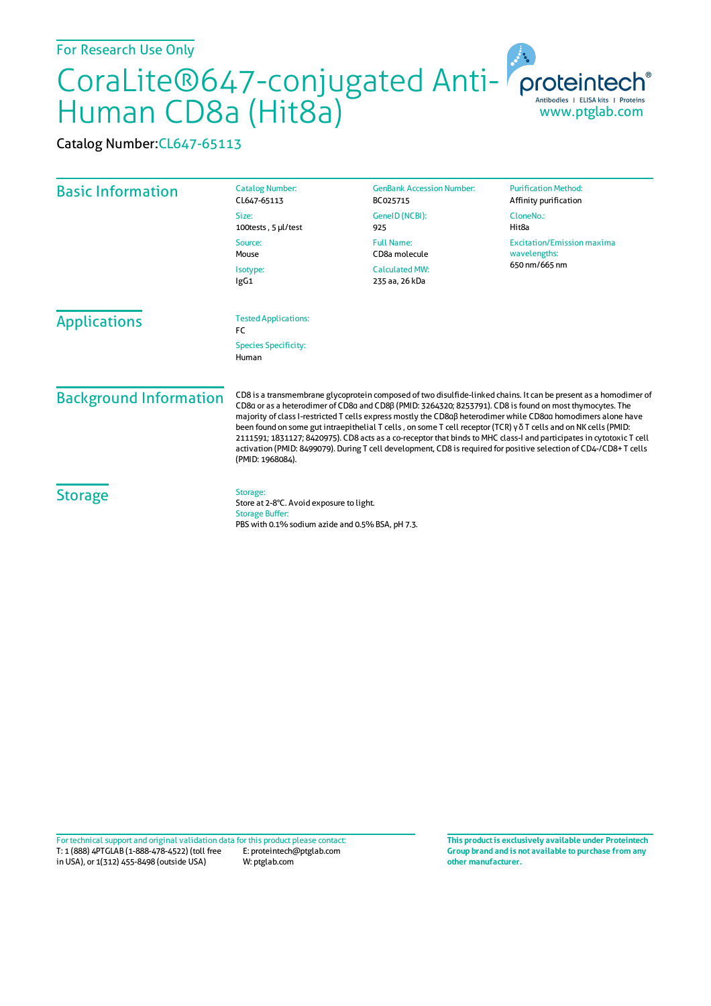## For Research Use Only

## CoraLite®647-conjugated Anti-Human CD8a (Hit8a)

Catalog Number:CL647-65113

| <b>Basic Information</b>      | <b>Catalog Number:</b><br>CL647-65113                                                                                                                                                                                                                                                                                                                                                                                                                                                                                                                                                                                                                                                                                             | <b>GenBank Accession Number:</b><br>BC025715 | <b>Purification Method:</b><br>Affinity purification               |
|-------------------------------|-----------------------------------------------------------------------------------------------------------------------------------------------------------------------------------------------------------------------------------------------------------------------------------------------------------------------------------------------------------------------------------------------------------------------------------------------------------------------------------------------------------------------------------------------------------------------------------------------------------------------------------------------------------------------------------------------------------------------------------|----------------------------------------------|--------------------------------------------------------------------|
|                               | Size:<br>100tests, 5 µl/test                                                                                                                                                                                                                                                                                                                                                                                                                                                                                                                                                                                                                                                                                                      | GeneID (NCBI):<br>925                        | CloneNo.:<br>Hit <sub>8a</sub>                                     |
|                               | Source:<br>Mouse                                                                                                                                                                                                                                                                                                                                                                                                                                                                                                                                                                                                                                                                                                                  | <b>Full Name:</b><br>CD8a molecule           | <b>Excitation/Emission maxima</b><br>wavelengths:<br>650 nm/665 nm |
|                               | Isotype:<br>lgG1                                                                                                                                                                                                                                                                                                                                                                                                                                                                                                                                                                                                                                                                                                                  | <b>Calculated MW:</b><br>235 aa, 26 kDa      |                                                                    |
| <b>Applications</b>           | <b>Tested Applications:</b><br>FC                                                                                                                                                                                                                                                                                                                                                                                                                                                                                                                                                                                                                                                                                                 |                                              |                                                                    |
|                               | <b>Species Specificity:</b><br>Human                                                                                                                                                                                                                                                                                                                                                                                                                                                                                                                                                                                                                                                                                              |                                              |                                                                    |
| <b>Background Information</b> | CD8 is a transmembrane glycoprotein composed of two disulfide-linked chains. It can be present as a homodimer of<br>CD8a or as a heterodimer of CD8a and CD8ß (PMID: 3264320; 8253791). CD8 is found on most thymocytes. The<br>majority of class I-restricted T cells express mostly the CD8aß heterodimer while CD8aa homodimers alone have<br>been found on some gut intraepithelial T cells, on some T cell receptor (TCR) γδ T cells and on NK cells (PMID:<br>2111591; 1831127; 8420975). CD8 acts as a co-receptor that binds to MHC class-I and participates in cytotoxic T cell<br>activation (PMID: 8499079). During T cell development, CD8 is required for positive selection of CD4-/CD8+T cells<br>(PMID: 1968084). |                                              |                                                                    |
| <b>Storage</b>                | Storage:<br>Store at 2-8°C. Avoid exposure to light.<br><b>Storage Buffer:</b><br>PBS with 0.1% sodium azide and 0.5% BSA, pH 7.3.                                                                                                                                                                                                                                                                                                                                                                                                                                                                                                                                                                                                |                                              |                                                                    |

T: 1 (888) 4PTGLAB (1-888-478-4522) (toll free in USA), or 1(312) 455-8498 (outside USA) E: proteintech@ptglab.com W: ptglab.com Fortechnical support and original validation data forthis product please contact: **This productis exclusively available under Proteintech**

**Group brand and is not available to purchase from any other manufacturer.**